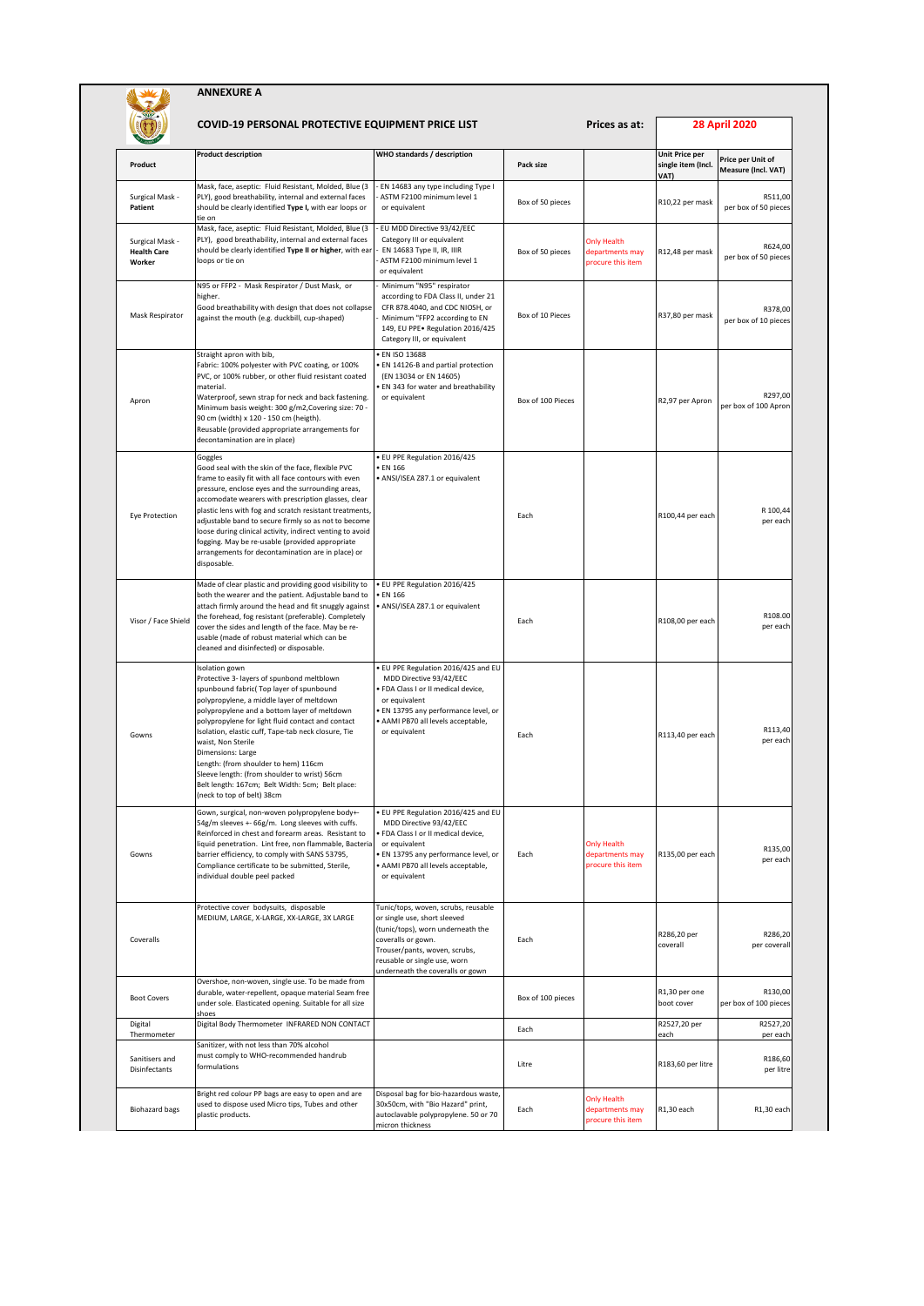|                                                 | COVID-19 PERSONAL PROTECTIVE EQUIPMENT PRICE LIST                                                                                                                                                                                                                                                                                                                                                                                                                                                                                       |                                                                                                                                                                                                                                     |                   |                                                            | <b>28 April 2020</b>                         |                                          |
|-------------------------------------------------|-----------------------------------------------------------------------------------------------------------------------------------------------------------------------------------------------------------------------------------------------------------------------------------------------------------------------------------------------------------------------------------------------------------------------------------------------------------------------------------------------------------------------------------------|-------------------------------------------------------------------------------------------------------------------------------------------------------------------------------------------------------------------------------------|-------------------|------------------------------------------------------------|----------------------------------------------|------------------------------------------|
| Product                                         | <b>Product description</b>                                                                                                                                                                                                                                                                                                                                                                                                                                                                                                              | WHO standards / description                                                                                                                                                                                                         | Pack size         |                                                            | Unit Price per<br>single item (Incl.<br>VAT) | Price per Unit of<br>Measure (Incl. VAT) |
| Surgical Mask -<br>Patient                      | Mask, face, aseptic: Fluid Resistant, Molded, Blue (3<br>PLY), good breathability, internal and external faces<br>should be clearly identified Type I, with ear loops or<br>tie on                                                                                                                                                                                                                                                                                                                                                      | EN 14683 any type including Type I<br>ASTM F2100 minimum level 1<br>or equivalent                                                                                                                                                   | Box of 50 pieces  |                                                            | R10,22 per mask                              | R511,00<br>per box of 50 pieces          |
| Surgical Mask -<br><b>Health Care</b><br>Worker | Mask, face, aseptic: Fluid Resistant, Molded, Blue (3<br>PLY), good breathability, internal and external faces<br>should be clearly identified Type II or higher, with ear<br>loops or tie on                                                                                                                                                                                                                                                                                                                                           | EU MDD Directive 93/42/EEC<br>Category III or equivalent<br>EN 14683 Type II, IR, IIIR<br>ASTM F2100 minimum level 1<br>or equivalent                                                                                               | Box of 50 pieces  | <b>Only Health</b><br>departments may<br>procure this item | R12,48 per mask                              | R624,00<br>per box of 50 pieces          |
| Mask Respirator                                 | N95 or FFP2 - Mask Respirator / Dust Mask, or<br>higher.<br>Good breathability with design that does not collapse<br>against the mouth (e.g. duckbill, cup-shaped)                                                                                                                                                                                                                                                                                                                                                                      | Minimum "N95" respirator<br>according to FDA Class II, under 21<br>CFR 878.4040, and CDC NIOSH, or<br>Minimum "FFP2 according to EN<br>149, EU PPE · Regulation 2016/425<br>Category III, or equivalent                             | Box of 10 Pieces  |                                                            | R37,80 per mask                              | R378,00<br>per box of 10 pieces          |
| Apron                                           | Straight apron with bib,<br>Fabric: 100% polyester with PVC coating, or 100%<br>PVC, or 100% rubber, or other fluid resistant coated<br>material.<br>Waterproof, sewn strap for neck and back fastening.<br>Minimum basis weight: 300 g/m2, Covering size: 70 -<br>90 cm (width) x 120 - 150 cm (heigth).<br>Reusable (provided appropriate arrangements for<br>decontamination are in place)                                                                                                                                           | <b>EN ISO 13688</b><br>· EN 14126-B and partial protection<br>(EN 13034 or EN 14605)<br>EN 343 for water and breathability<br>or equivalent                                                                                         | Box of 100 Pieces |                                                            | R2,97 per Apron                              | R297,00<br>per box of 100 Apron          |
| Eye Protection                                  | Goggles<br>Good seal with the skin of the face, flexible PVC<br>frame to easily fit with all face contours with even<br>pressure, enclose eyes and the surrounding areas,<br>accomodate wearers with prescription glasses, clear<br>plastic lens with fog and scratch resistant treatments,<br>adjustable band to secure firmly so as not to become<br>loose during clinical activity, indirect venting to avoid<br>fogging. May be re-usable (provided appropriate<br>arrangements for decontamination are in place) or<br>disposable. | · EU PPE Regulation 2016/425<br>• EN 166<br>· ANSI/ISEA Z87.1 or equivalent                                                                                                                                                         | Each              |                                                            | R100,44 per each                             | R 100.44<br>per each                     |
| Visor / Face Shield                             | Made of clear plastic and providing good visibility to<br>both the wearer and the patient. Adjustable band to<br>attach firmly around the head and fit snuggly against<br>the forehead, fog resistant (preferable). Completely<br>cover the sides and length of the face. May be re-<br>usable (made of robust material which can be<br>cleaned and disinfected) or disposable.                                                                                                                                                         | · EU PPE Regulation 2016/425<br>• EN 166<br>· ANSI/ISEA Z87.1 or equivalent                                                                                                                                                         | Each              |                                                            | R108,00 per each                             | R108.00<br>per each                      |
| Gowns                                           | Isolation gown<br>Protective 3- layers of spunbond meltblown<br>spunbound fabric( Top layer of spunbound<br>polypropylene, a middle layer of meltdown<br>polypropylene and a bottom layer of meltdown<br>polypropylene for light fluid contact and contact<br>Isolation, elastic cuff, Tape-tab neck closure, Tie<br>waist, Non Sterile<br>Dimensions: Large<br>Length: (from shoulder to hem) 116cm<br>Sleeve length: (from shoulder to wrist) 56cm<br>Belt length: 167cm; Belt Width: 5cm; Belt place:<br>(neck to top of belt) 38cm  | EU PPE Regulation 2016/425 and EU<br>MDD Directive 93/42/EEC<br>FDA Class I or II medical device,<br>or equivalent<br>· EN 13795 any performance level, or<br>AAMI PB70 all levels acceptable,<br>or equivalent                     | Each              |                                                            | R113,40 per each                             | R113,40<br>per each                      |
| Gowns                                           | Gown, surgical, non-woven polypropylene body+-<br>54g/m sleeves +- 66g/m. Long sleeves with cuffs.<br>Reinforced in chest and forearm areas. Resistant to<br>liquid penetration. Lint free, non flammable, Bacteria<br>barrier efficiency, to comply with SANS 53795,<br>Compliance certificate to be submitted, Sterile,<br>individual double peel packed                                                                                                                                                                              | · EU PPE Regulation 2016/425 and EU<br>MDD Directive 93/42/EEC<br>· FDA Class I or II medical device,<br>or equivalent<br>EN 13795 any performance level, or<br>AAMI PB70 all levels acceptable,<br>or equivalent                   | Each              | <b>Only Health</b><br>departments may<br>procure this item | R135,00 per each                             | R135,00<br>per each                      |
| Coveralls                                       | Protective cover bodysuits, disposable<br>MEDIUM, LARGE, X-LARGE, XX-LARGE, 3X LARGE                                                                                                                                                                                                                                                                                                                                                                                                                                                    | Tunic/tops, woven, scrubs, reusable<br>or single use, short sleeved<br>(tunic/tops), worn underneath the<br>coveralls or gown.<br>Trouser/pants, woven, scrubs,<br>reusable or single use, worn<br>underneath the coveralls or gown | Each              |                                                            | R286,20 per<br>coverall                      | R286,20<br>per coverall                  |
| <b>Boot Covers</b>                              | Overshoe, non-woven, single use. To be made from<br>durable, water-repellent, opaque material Seam free<br>under sole. Elasticated opening. Suitable for all size<br>shoes                                                                                                                                                                                                                                                                                                                                                              |                                                                                                                                                                                                                                     | Box of 100 pieces |                                                            | R1,30 per one<br>boot cover                  | R130,00<br>per box of 100 pieces         |
| Digital<br>Thermometer                          | Digital Body Thermometer INFRARED NON CONTACT                                                                                                                                                                                                                                                                                                                                                                                                                                                                                           |                                                                                                                                                                                                                                     | Each              |                                                            | R2527,20 per<br>each                         | R2527,20<br>per each                     |
| Sanitisers and<br>Disinfectants                 | Sanitizer, with not less than 70% alcohol<br>must comply to WHO-recommended handrub<br>formulations                                                                                                                                                                                                                                                                                                                                                                                                                                     |                                                                                                                                                                                                                                     | Litre             |                                                            | R183,60 per litre                            | R186,60<br>per litre                     |
| <b>Biohazard bags</b>                           | Bright red colour PP bags are easy to open and are<br>used to dispose used Micro tips, Tubes and other<br>plastic products.                                                                                                                                                                                                                                                                                                                                                                                                             | Disposal bag for bio-hazardous waste,<br>30x50cm, with "Bio Hazard" print,<br>autoclavable polypropylene. 50 or 70<br>micron thickness                                                                                              | Each              | <b>Only Health</b><br>departments may<br>procure this item | R1,30 each                                   | R1,30 each                               |